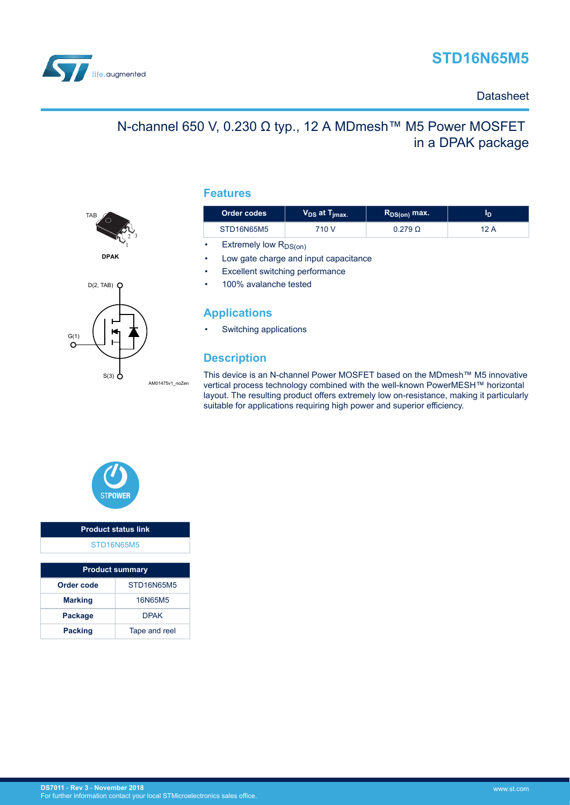



### **Datasheet**

# N-channel 650 V, 0.230 Ω typ., 12 A MDmesh™ M5 Power MOSFET in a DPAK package





### **Features**

| Order codes                     | $V_{DS}$ at $T_{jmax.}$ | $R_{DS(on)}$ max. | סי   |  |  |
|---------------------------------|-------------------------|-------------------|------|--|--|
| STD16N65M5                      | 710 V                   | $0.279 \Omega$    | 12 A |  |  |
| Extremely low $R_{DS(on)}$<br>٠ |                         |                   |      |  |  |

- Low gate charge and input capacitance
- **Excellent switching performance**
- 100% avalanche tested

### **Applications**

Switching applications

### **Description**

This device is an N-channel Power MOSFET based on the MDmesh™ M5 innovative vertical process technology combined with the well-known PowerMESH™ horizontal layout. The resulting product offers extremely low on-resistance, making it particularly suitable for applications requiring high power and superior efficiency.



# **Product status link** [STD16N65M5](http://www.st.com/en/product/std16n65m5)

| <b>Product summary</b> |                   |  |  |
|------------------------|-------------------|--|--|
| Order code             | <b>STD16N65M5</b> |  |  |
| <b>Marking</b>         | 16N65M5           |  |  |
| <b>Package</b>         | <b>DPAK</b>       |  |  |
| <b>Packing</b>         | Tape and reel     |  |  |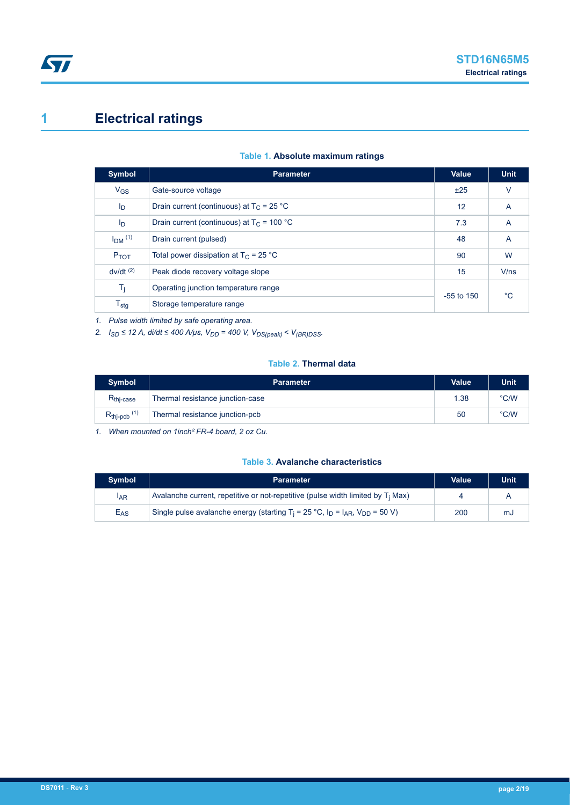# <span id="page-1-0"></span>**1 Electrical ratings**

#### **Table 1. Absolute maximum ratings**

| <b>Symbol</b>             | <b>Parameter</b>                             | Value        | <b>Unit</b> |
|---------------------------|----------------------------------------------|--------------|-------------|
| $V_{GS}$                  | Gate-source voltage                          | ±25          | v           |
| I <sub>D</sub>            | Drain current (continuous) at $T_C = 25 °C$  | 12           | A           |
| I <sub>D</sub>            | Drain current (continuous) at $T_c$ = 100 °C | 7.3          | A           |
| $IDM$ <sup>(1)</sup>      | Drain current (pulsed)                       | 48           | A           |
| $P_{TOT}$                 | Total power dissipation at $T_C = 25$ °C     | 90           | W           |
| $dv/dt$ <sup>(2)</sup>    | Peak diode recovery voltage slope            | 15           | V/ns        |
| T <sub>i</sub>            | Operating junction temperature range         | $-55$ to 150 | $^{\circ}C$ |
| $\mathsf{T}_{\text{stg}}$ | Storage temperature range                    |              |             |

*1. Pulse width limited by safe operating area.*

*2. ISD ≤ 12 A, di/dt ≤ 400 A/μs, VDD = 400 V, VDS(peak) < V(BR)DSS.*

#### **Table 2. Thermal data**

| <b>Symbol</b>             | <b>Parameter</b>                 | Value | <b>Unit</b>   |
|---------------------------|----------------------------------|-------|---------------|
| $Rthi-case$               | Thermal resistance junction-case | 1.38  | $\degree$ C/W |
| $R_{thip}$ <sub>(1)</sub> | Thermal resistance junction-pcb  | 50    | °C/W          |

*1. When mounted on 1inch² FR-4 board, 2 oz Cu.*

#### **Table 3. Avalanche characteristics**

| <b>Symbol</b>   | <b>Parameter</b>                                                                                          | <b>Value</b> | <b>Unit</b> |
|-----------------|-----------------------------------------------------------------------------------------------------------|--------------|-------------|
| IAR             | Avalanche current, repetitive or not-repetitive (pulse width limited by $T_i$ Max)                        |              |             |
| E <sub>AS</sub> | Single pulse avalanche energy (starting $T_i = 25 \degree C$ , $I_D = I_{AR}$ , $V_{DD} = 50 \degree V$ ) | 200          | mJ          |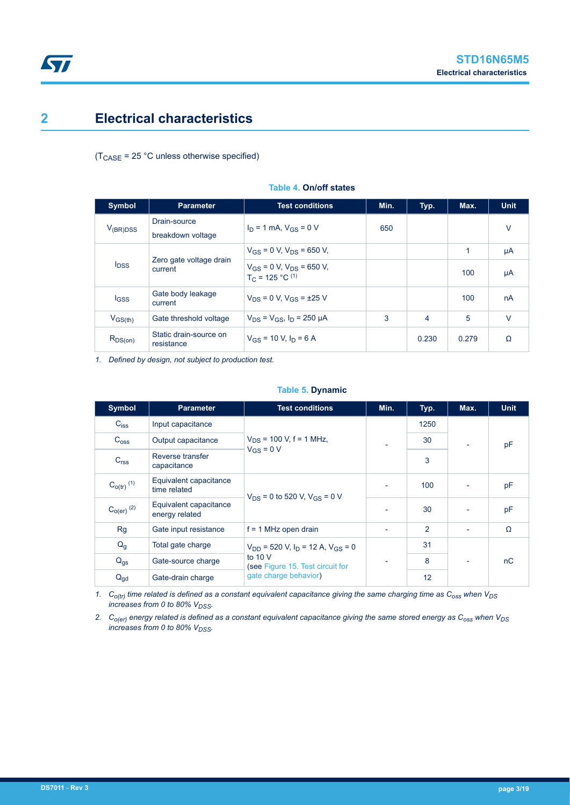### <span id="page-2-0"></span>**2 Electrical characteristics**

 $(T_{\text{CASE}} = 25 \text{ °C}$  unless otherwise specified)

| <b>Symbol</b> | <b>Parameter</b>                                | <b>Test conditions</b>                                  | Min. | Typ.  | Max.         | <b>Unit</b> |
|---------------|-------------------------------------------------|---------------------------------------------------------|------|-------|--------------|-------------|
| $V_{(BR)DSS}$ | Drain-source<br>breakdown voltage               | $I_D = 1$ mA, $V_{GS} = 0$ V                            | 650  |       |              | $\vee$      |
|               | Zero gate voltage drain<br>$I_{DSS}$<br>current | $V_{GS}$ = 0 V, $V_{DS}$ = 650 V,                       |      |       | $\mathbf{1}$ | μA          |
|               |                                                 | $V_{GS}$ = 0 V, $V_{DS}$ = 650 V,<br>$T_C = 125 °C$ (1) |      |       | 100          | μA          |
| lgss          | Gate body leakage<br>current                    | $V_{DS} = 0$ V, $V_{GS} = \pm 25$ V                     |      |       | 100          | nA          |
| $V_{GS(th)}$  | Gate threshold voltage                          | $V_{DS} = V_{GS}$ , $I_D = 250 \mu A$                   | 3    | 4     | 5            | $\vee$      |
| $R_{DS(on)}$  | Static drain-source on<br>resistance            | $V_{GS}$ = 10 V, $I_D$ = 6 A                            |      | 0.230 | 0.279        | Ω           |

**Table 4. On/off states**

*1. Defined by design, not subject to production test.*

#### **Table 5. Dynamic**

| <b>Symbol</b>              | <b>Parameter</b>                         | <b>Test conditions</b>                       | Min.                     | Typ.           | Max.                     | <b>Unit</b> |
|----------------------------|------------------------------------------|----------------------------------------------|--------------------------|----------------|--------------------------|-------------|
| $C_{iss}$                  | Input capacitance                        |                                              |                          | 1250           |                          |             |
| C <sub>oss</sub>           | Output capacitance                       | $V_{DS}$ = 100 V, f = 1 MHz,                 |                          | 30             | $\overline{\phantom{a}}$ | pF          |
| C <sub>rss</sub>           | Reverse transfer<br>capacitance          | $V_{GS} = 0 V$                               |                          | 3              |                          |             |
| $C_{O(tr)}$ <sup>(1)</sup> | Equivalent capacitance<br>time related   | $V_{DS} = 0$ to 520 V, $V_{GS} = 0$ V        |                          | 100            |                          | pF          |
| $C_{O(er)}$ <sup>(2)</sup> | Equivalent capacitance<br>energy related |                                              |                          | 30             |                          | pF          |
| <b>Rg</b>                  | Gate input resistance                    | $f = 1$ MHz open drain                       |                          | $\overline{2}$ |                          | Ω           |
| $Q_{q}$                    | Total gate charge                        | $V_{DD}$ = 520 V, $I_D$ = 12 A, $V_{GS}$ = 0 |                          | 31             |                          |             |
| $Q_{gs}$                   | Gate-source charge                       | to $10V$<br>(see Figure 15. Test circuit for | $\overline{\phantom{0}}$ | 8              | ٠                        | nC          |
| $Q_{gd}$                   | Gate-drain charge                        | gate charge behavior)                        |                          | 12             |                          |             |

*1. Co(tr) time related is defined as a constant equivalent capacitance giving the same charging time as Coss when VDS increases from 0 to 80% V<sub>DSS</sub>*.

*2. Co(er) energy related is defined as a constant equivalent capacitance giving the same stored energy as Coss when VDS increases from 0 to 80% V<sub>DSS</sub>*.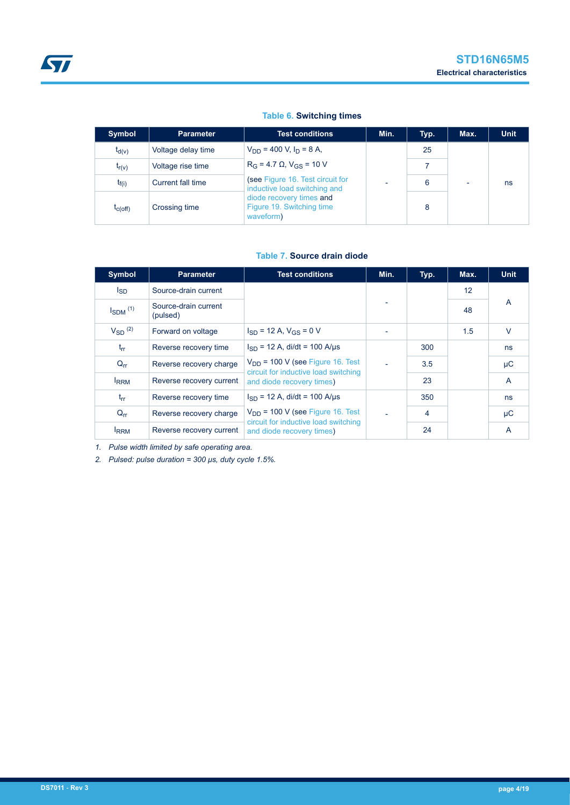### **Table 6. Switching times**

| Symbol       | <b>Parameter</b>   | <b>Test conditions</b>                                             | Min.                     | Typ. | Max.                     | <b>Unit</b> |
|--------------|--------------------|--------------------------------------------------------------------|--------------------------|------|--------------------------|-------------|
| $t_{d(v)}$   | Voltage delay time | $V_{DD}$ = 400 V, $I_D$ = 8 A,                                     |                          | 25   |                          |             |
| $t_{r(v)}$   | Voltage rise time  | $R_G = 4.7 \Omega$ , $V_{GS} = 10 V$                               |                          |      |                          |             |
| $t_{f(i)}$   | Current fall time  | (see Figure 16. Test circuit for<br>inductive load switching and   | $\overline{\phantom{0}}$ | 6    | $\overline{\phantom{0}}$ | ns          |
| $t_{C(Off)}$ | Crossing time      | diode recovery times and<br>Figure 19. Switching time<br>waveform) |                          | 8    |                          |             |

#### **Table 7. Source drain diode**

| <b>Symbol</b>            | <b>Parameter</b>                 | <b>Test conditions</b>                                                        | Min. | Typ. | Max. | <b>Unit</b>    |
|--------------------------|----------------------------------|-------------------------------------------------------------------------------|------|------|------|----------------|
| lsp                      | Source-drain current             |                                                                               |      |      | 12   |                |
| $I_{SDM}$ <sup>(1)</sup> | Source-drain current<br>(pulsed) |                                                                               |      |      | 48   | A              |
| $V_{SD}$ (2)             | Forward on voltage               | $I_{SD}$ = 12 A, $V_{GS}$ = 0 V                                               |      |      | 1.5  | $\vee$         |
| $t_{rr}$                 | Reverse recovery time            | $I_{SD}$ = 12 A, di/dt = 100 A/us                                             |      | 300  |      | ns             |
| $Q_{rr}$                 | Reverse recovery charge          | $V_{DD}$ = 100 V (see Figure 16. Test                                         |      | 3.5  |      | μC             |
| <b>IRRM</b>              | Reverse recovery current         | circuit for inductive load switching<br>and diode recovery times)             |      | 23   |      | $\overline{A}$ |
| $t_{rr}$                 | Reverse recovery time            | $I_{SD}$ = 12 A, di/dt = 100 A/us                                             |      | 350  |      | ns             |
| $Q_{rr}$                 | Reverse recovery charge          | $V_{DD}$ = 100 V (see Figure 16. Test<br>circuit for inductive load switching |      | 4    |      | μC             |
| <b>IRRM</b>              | Reverse recovery current         | and diode recovery times)                                                     |      | 24   |      | A              |

*1. Pulse width limited by safe operating area.*

*2. Pulsed: pulse duration = 300 μs, duty cycle 1.5%.*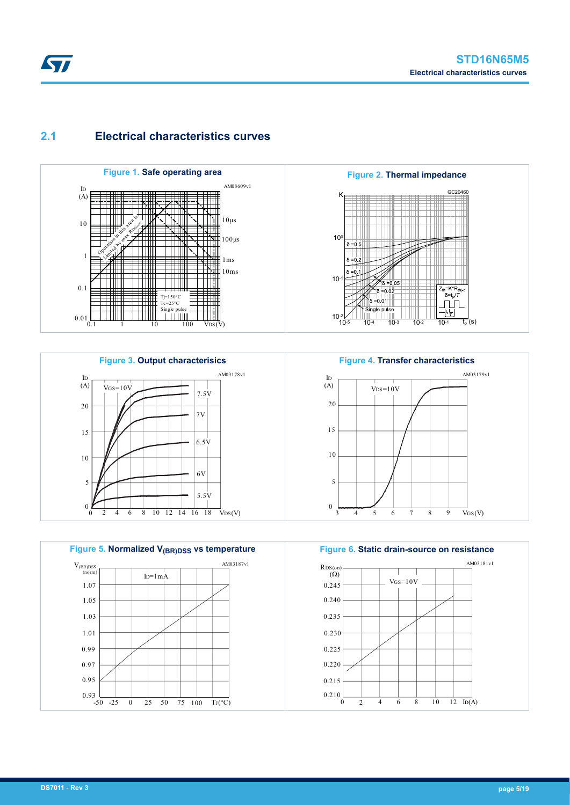### <span id="page-4-0"></span>**2.1 Electrical characteristics curves**











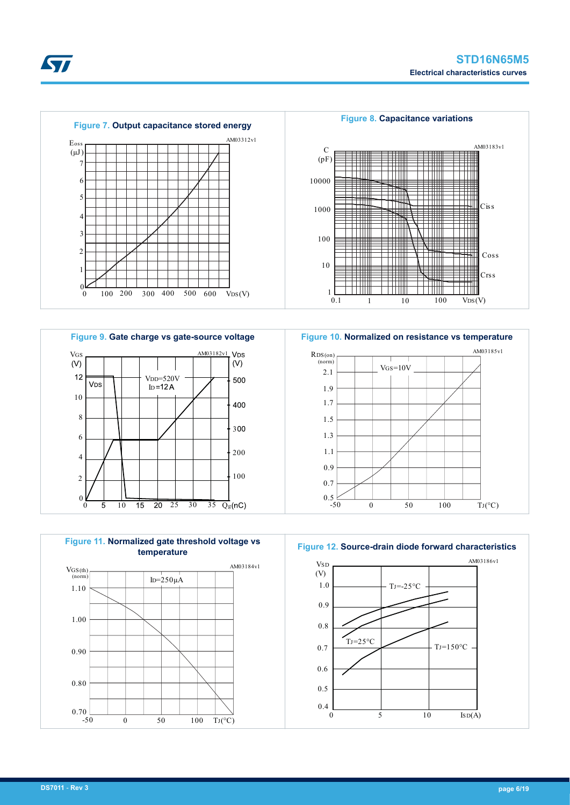







**Figure 12. Source-drain diode forward characteristics**



57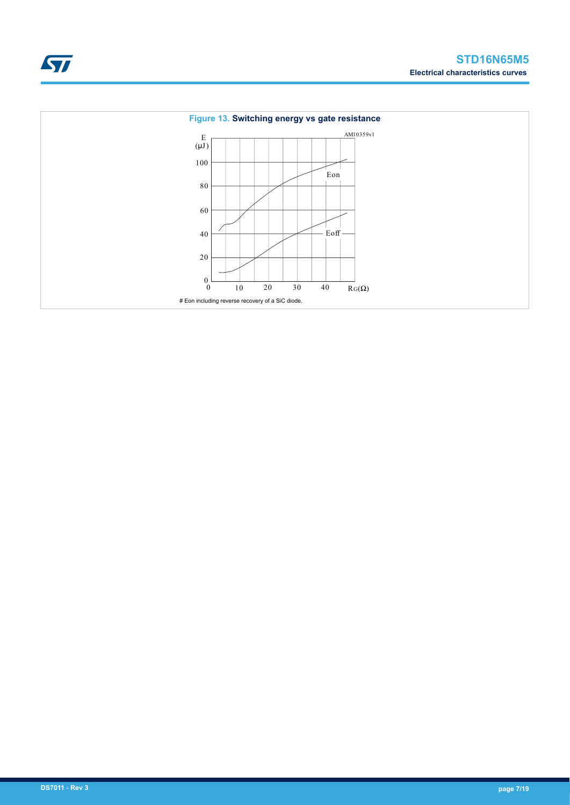

 $\sqrt{2}$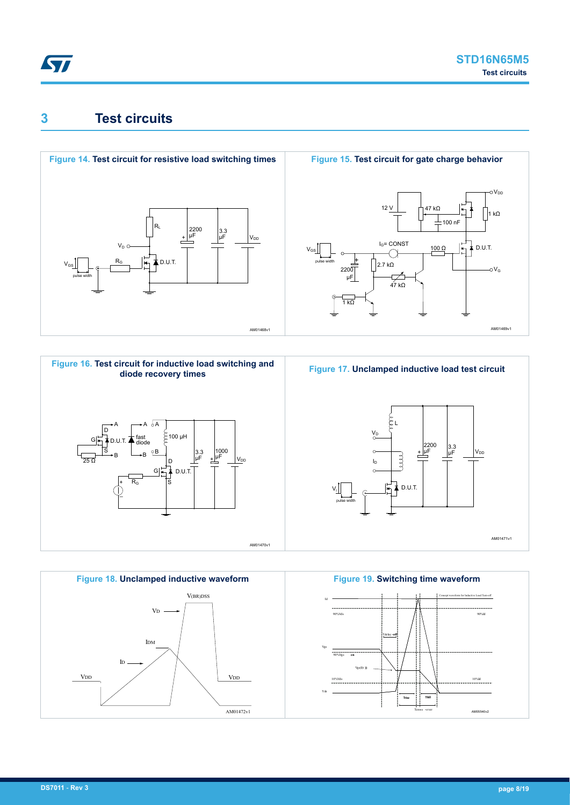### <span id="page-7-0"></span>**3 Test circuits**









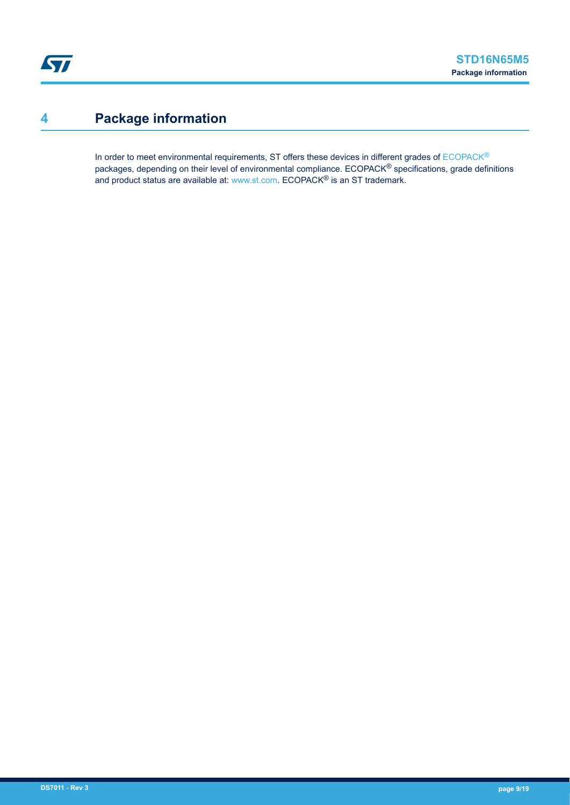# <span id="page-8-0"></span>**4 Package information**

In order to meet environmental requirements, ST offers these devices in different grades of [ECOPACK](https://www.st.com/ecopack)® packages, depending on their level of environmental compliance. ECOPACK® specifications, grade definitions and product status are available at: [www.st.com.](http://www.st.com) ECOPACK® is an ST trademark.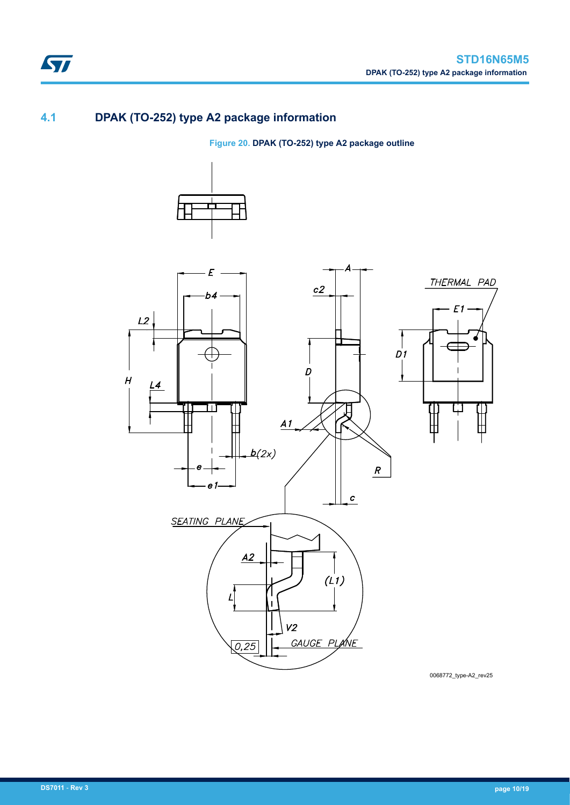### **4.1 DPAK (TO-252) type A2 package information**

ST

**Figure 20. DPAK (TO-252) type A2 package outline**





0068772\_type-A2\_rev25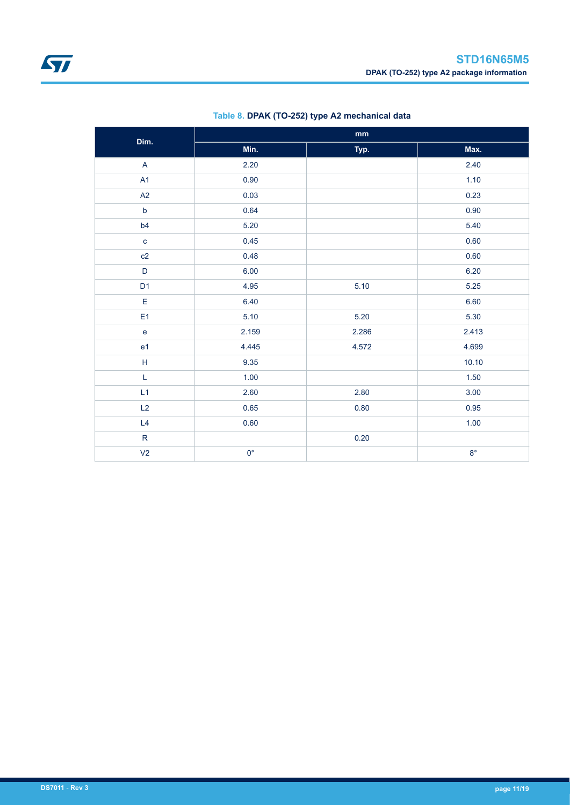<span id="page-10-0"></span>

| Dim.                              | $\mathop{\text{mm}}\nolimits$ |       |             |  |  |
|-----------------------------------|-------------------------------|-------|-------------|--|--|
|                                   | Min.                          | Typ.  | Max.        |  |  |
| $\mathsf{A}$                      | 2.20                          |       | 2.40        |  |  |
| A1                                | 0.90                          |       | 1.10        |  |  |
| A2                                | 0.03                          |       | 0.23        |  |  |
| $\mathsf b$                       | 0.64                          |       | 0.90        |  |  |
| b4                                | 5.20                          |       | 5.40        |  |  |
| $\mathbf c$                       | 0.45                          |       | 0.60        |  |  |
| c2                                | 0.48                          |       | 0.60        |  |  |
| $\mathsf D$                       | 6.00                          |       | 6.20        |  |  |
| D <sub>1</sub>                    | 4.95                          | 5.10  | 5.25        |  |  |
| E                                 | 6.40                          |       | 6.60        |  |  |
| E <sub>1</sub>                    | 5.10                          | 5.20  | 5.30        |  |  |
| $\mathsf{e}% _{t}\left( t\right)$ | 2.159                         | 2.286 | 2.413       |  |  |
| e1                                | 4.445                         | 4.572 | 4.699       |  |  |
| $\mathsf H$                       | 9.35                          |       | 10.10       |  |  |
| L                                 | 1.00                          |       | 1.50        |  |  |
| L1                                | 2.60                          | 2.80  | 3.00        |  |  |
| L2                                | 0.65                          | 0.80  | 0.95        |  |  |
| L4                                | 0.60                          |       | 1.00        |  |  |
| ${\sf R}$                         |                               | 0.20  |             |  |  |
| V <sub>2</sub>                    | $0^{\circ}$                   |       | $8^{\circ}$ |  |  |

### **Table 8. DPAK (TO-252) type A2 mechanical data**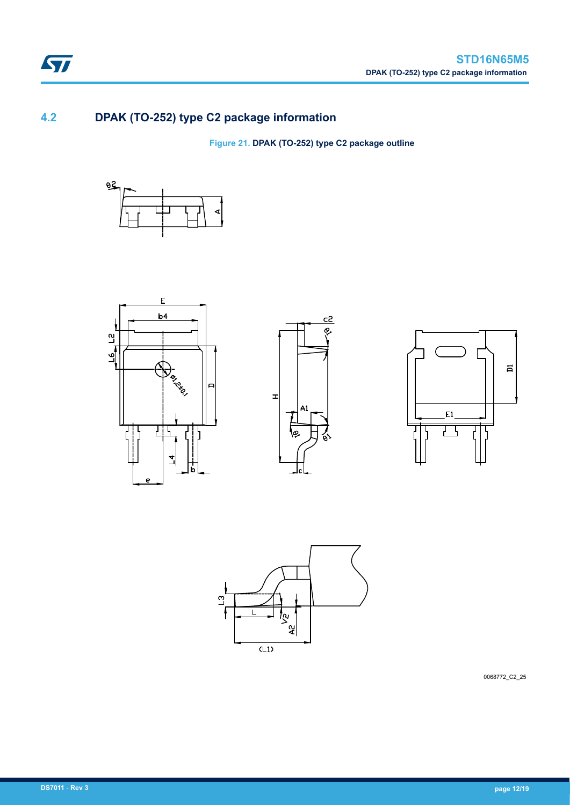### **4.2 DPAK (TO-252) type C2 package information**

**Figure 21. DPAK (TO-252) type C2 package outline**











0068772\_C2\_25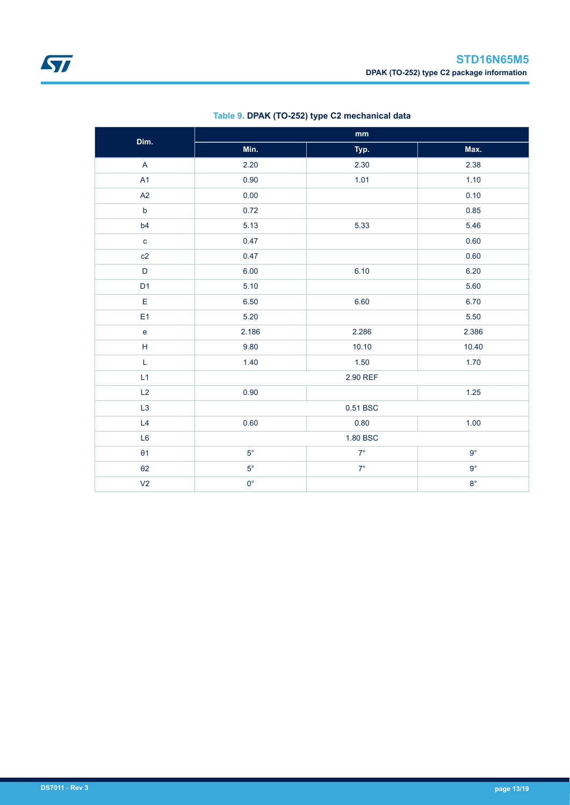| Dim.                      | $\mathop{\text{mm}}\nolimits$ |             |             |  |  |
|---------------------------|-------------------------------|-------------|-------------|--|--|
|                           | Min.                          | Typ.        | Max.        |  |  |
| $\boldsymbol{\mathsf{A}}$ | 2.20                          | 2.30        | 2.38        |  |  |
| A1                        | 0.90                          | 1.01        | 1.10        |  |  |
| A2                        | 0.00                          |             | 0.10        |  |  |
| $\mathsf b$               | 0.72                          |             | 0.85        |  |  |
| b4                        | 5.13                          | 5.33        | 5.46        |  |  |
| $\mathbf{C}$              | 0.47                          |             | 0.60        |  |  |
| c2                        | 0.47                          |             | 0.60        |  |  |
| $\mathsf D$               | 6.00                          | 6.10        | 6.20        |  |  |
| D <sub>1</sub>            | 5.10                          |             | 5.60        |  |  |
| E                         | 6.50                          | 6.60        | 6.70        |  |  |
| E <sub>1</sub>            | 5.20                          |             | 5.50        |  |  |
| $\mathsf{e}\,$            | 2.186                         | 2.286       | 2.386       |  |  |
| $\boldsymbol{\mathsf{H}}$ | 9.80                          | 10.10       | 10.40       |  |  |
| L                         | 1.40                          | 1.50        | 1.70        |  |  |
| L1                        |                               | 2.90 REF    |             |  |  |
| L2                        | 0.90                          |             | 1.25        |  |  |
| L <sub>3</sub>            |                               | 0.51 BSC    |             |  |  |
| L4                        | 0.60                          | 0.80        | 1.00        |  |  |
| L <sub>6</sub>            | 1.80 BSC                      |             |             |  |  |
| $\theta$ 1                | $5^{\circ}$                   | $7^\circ$   | $9^{\circ}$ |  |  |
| $\theta$ 2                | $5^{\circ}$                   | $7^{\circ}$ | $9^{\circ}$ |  |  |
| V <sub>2</sub>            | $0^{\circ}$                   |             | $8^{\circ}$ |  |  |

### **Table 9. DPAK (TO-252) type C2 mechanical data**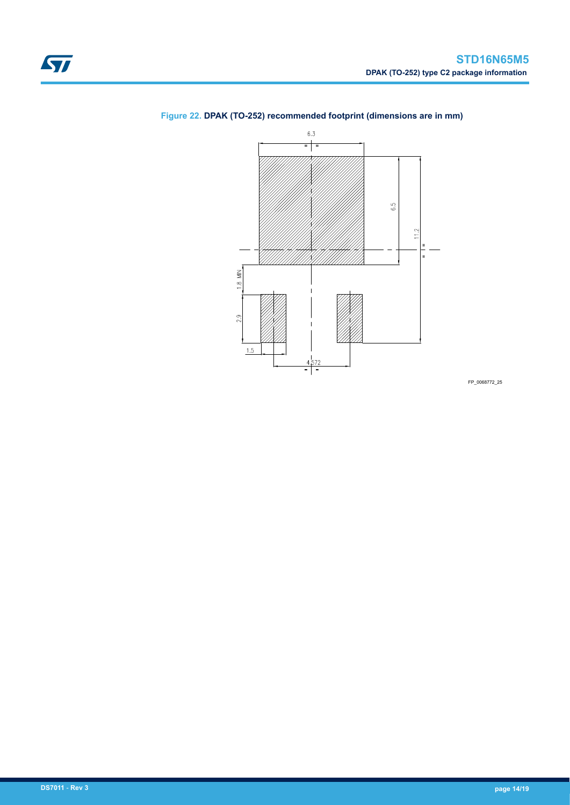

### <span id="page-13-0"></span>**Figure 22. DPAK (TO-252) recommended footprint (dimensions are in mm)**

FP\_0068772\_25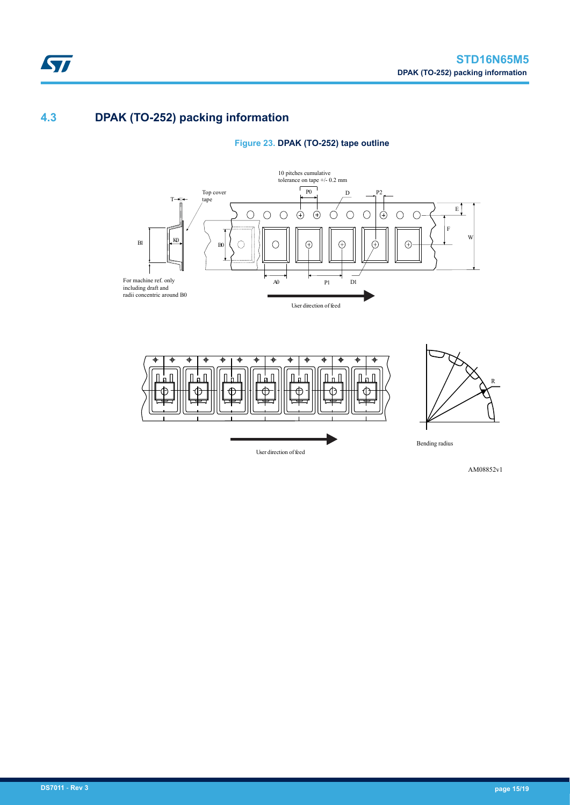### **4.3 DPAK (TO-252) packing information**

ST







AM08852v1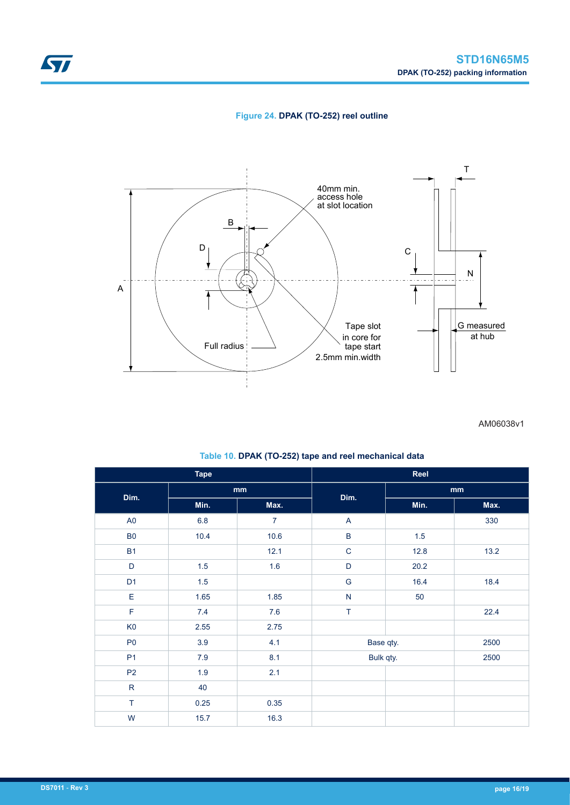

### **Figure 24. DPAK (TO-252) reel outline**



AM06038v1

| <b>Tape</b>    |         |                |               | Reel      |      |  |
|----------------|---------|----------------|---------------|-----------|------|--|
| Dim.           | mm      |                | Dim.          | mm        |      |  |
|                | Min.    | Max.           |               | Min.      | Max. |  |
| A <sub>0</sub> | $6.8\,$ | $\overline{7}$ | A             |           | 330  |  |
| B <sub>0</sub> | 10.4    | 10.6           | $\sf B$       | 1.5       |      |  |
| <b>B1</b>      |         | 12.1           | $\mathbf C$   | 12.8      | 13.2 |  |
| $\mathsf D$    | 1.5     | 1.6            | $\mathsf D$   | 20.2      |      |  |
| D <sub>1</sub> | 1.5     |                | ${\mathsf G}$ | 16.4      | 18.4 |  |
| E              | 1.65    | 1.85           | ${\sf N}$     | 50        |      |  |
| $\mathsf F$    | 7.4     | 7.6            | T             |           | 22.4 |  |
| K <sub>0</sub> | 2.55    | 2.75           |               |           |      |  |
| P <sub>0</sub> | 3.9     | 4.1            |               | Base qty. | 2500 |  |
| P <sub>1</sub> | $7.9$   | 8.1            |               | Bulk qty. | 2500 |  |
| P <sub>2</sub> | 1.9     | 2.1            |               |           |      |  |
| ${\sf R}$      | 40      |                |               |           |      |  |
| $\top$         | 0.25    | 0.35           |               |           |      |  |
| W              | 15.7    | 16.3           |               |           |      |  |

#### **Table 10. DPAK (TO-252) tape and reel mechanical data**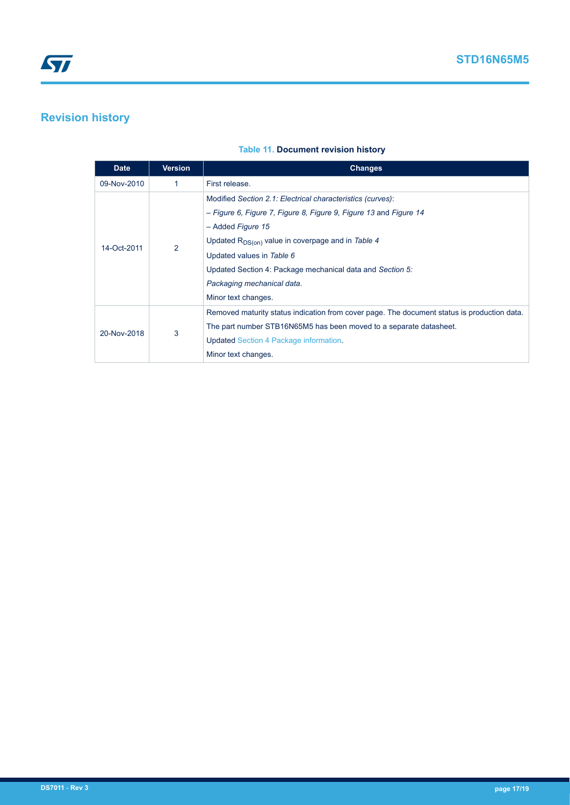# <span id="page-16-0"></span>**Revision history**

#### **Table 11. Document revision history**

| <b>Date</b> | <b>Version</b> | <b>Changes</b>                                                                              |
|-------------|----------------|---------------------------------------------------------------------------------------------|
| 09-Nov-2010 | 1              | First release.                                                                              |
| 14-Oct-2011 | $\overline{2}$ | Modified Section 2.1: Electrical characteristics (curves):                                  |
|             |                | - Figure 6, Figure 7, Figure 8, Figure 9, Figure 13 and Figure 14                           |
|             |                | - Added Figure 15                                                                           |
|             |                | Updated R <sub>DS(on)</sub> value in coverpage and in Table 4                               |
|             |                | Updated values in Table 6                                                                   |
|             |                | Updated Section 4: Package mechanical data and Section 5:                                   |
|             |                | Packaging mechanical data.                                                                  |
|             |                | Minor text changes.                                                                         |
| 20-Nov-2018 | 3              | Removed maturity status indication from cover page. The document status is production data. |
|             |                | The part number STB16N65M5 has been moved to a separate datasheet.                          |
|             |                | <b>Updated Section 4 Package information.</b>                                               |
|             |                | Minor text changes.                                                                         |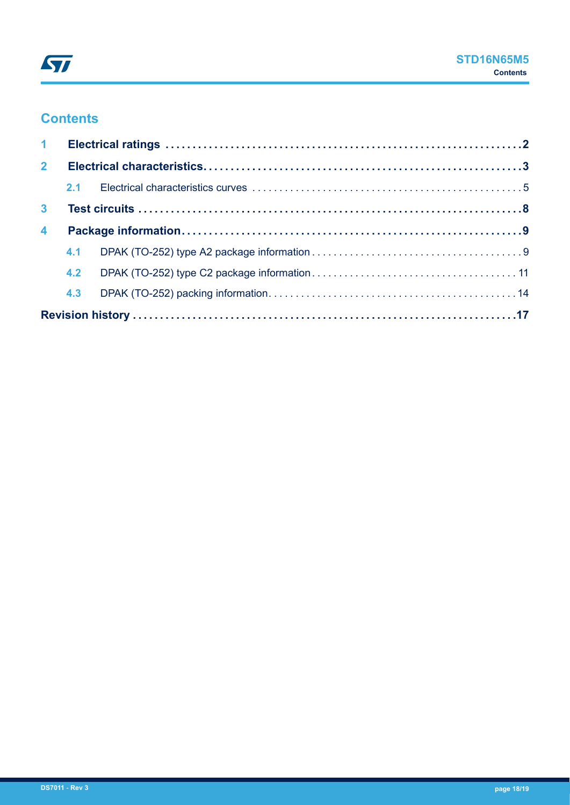### **Contents**

| $\mathbf{1}$     |     |  |  |  |
|------------------|-----|--|--|--|
| 2 <sup>1</sup>   |     |  |  |  |
|                  |     |  |  |  |
| 3 <sup>1</sup>   |     |  |  |  |
| $\blacktriangle$ |     |  |  |  |
|                  | 4.1 |  |  |  |
|                  |     |  |  |  |
|                  | 4.3 |  |  |  |
|                  |     |  |  |  |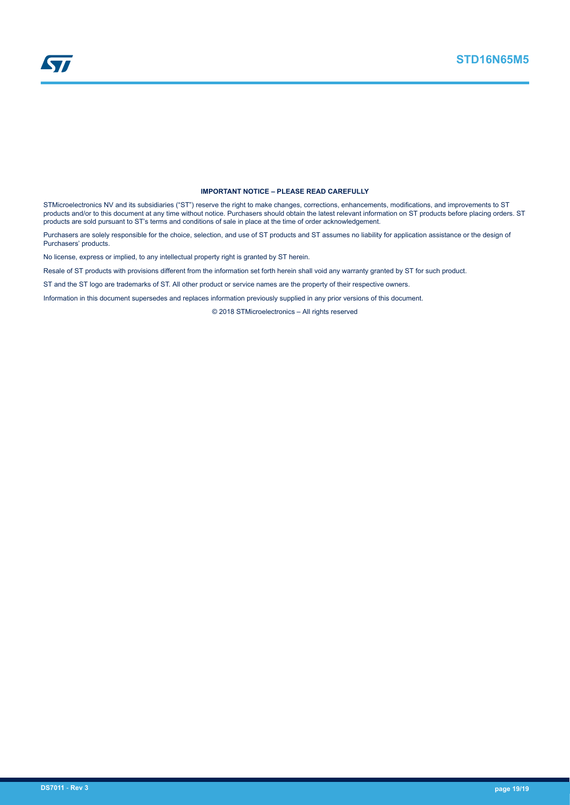

#### **IMPORTANT NOTICE – PLEASE READ CAREFULLY**

STMicroelectronics NV and its subsidiaries ("ST") reserve the right to make changes, corrections, enhancements, modifications, and improvements to ST products and/or to this document at any time without notice. Purchasers should obtain the latest relevant information on ST products before placing orders. ST products are sold pursuant to ST's terms and conditions of sale in place at the time of order acknowledgement.

Purchasers are solely responsible for the choice, selection, and use of ST products and ST assumes no liability for application assistance or the design of Purchasers' products.

No license, express or implied, to any intellectual property right is granted by ST herein.

Resale of ST products with provisions different from the information set forth herein shall void any warranty granted by ST for such product.

ST and the ST logo are trademarks of ST. All other product or service names are the property of their respective owners.

Information in this document supersedes and replaces information previously supplied in any prior versions of this document.

© 2018 STMicroelectronics – All rights reserved